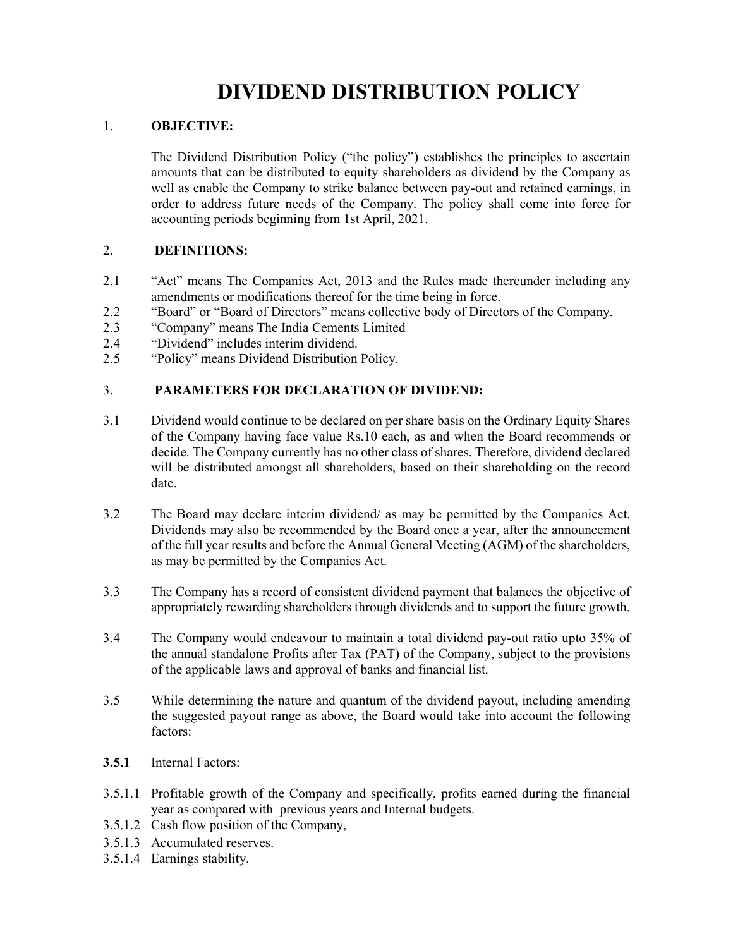# DIVIDEND DISTRIBUTION POLICY

## 1. OBJECTIVE:

The Dividend Distribution Policy ("the policy") establishes the principles to ascertain amounts that can be distributed to equity shareholders as dividend by the Company as well as enable the Company to strike balance between pay-out and retained earnings, in order to address future needs of the Company. The policy shall come into force for accounting periods beginning from 1st April, 2021.

# 2. DEFINITIONS:

- 2.1 "Act" means The Companies Act, 2013 and the Rules made thereunder including any amendments or modifications thereof for the time being in force.
- 2.2 "Board" or "Board of Directors" means collective body of Directors of the Company.
- 2.3 "Company" means The India Cements Limited
- 2.4 "Dividend" includes interim dividend.
- 2.5 "Policy" means Dividend Distribution Policy.

# 3. PARAMETERS FOR DECLARATION OF DIVIDEND:

- 3.1 Dividend would continue to be declared on per share basis on the Ordinary Equity Shares of the Company having face value Rs.10 each, as and when the Board recommends or decide. The Company currently has no other class of shares. Therefore, dividend declared will be distributed amongst all shareholders, based on their shareholding on the record date.
- 3.2 The Board may declare interim dividend/ as may be permitted by the Companies Act. Dividends may also be recommended by the Board once a year, after the announcement of the full year results and before the Annual General Meeting (AGM) of the shareholders, as may be permitted by the Companies Act.
- 3.3 The Company has a record of consistent dividend payment that balances the objective of appropriately rewarding shareholders through dividends and to support the future growth.
- 3.4 The Company would endeavour to maintain a total dividend pay-out ratio upto 35% of the annual standalone Profits after Tax (PAT) of the Company, subject to the provisions of the applicable laws and approval of banks and financial list.
- 3.5 While determining the nature and quantum of the dividend payout, including amending the suggested payout range as above, the Board would take into account the following factors:
- 3.5.1 Internal Factors:
- 3.5.1.1 Profitable growth of the Company and specifically, profits earned during the financial year as compared with previous years and Internal budgets.
- 3.5.1.2 Cash flow position of the Company,
- 3.5.1.3 Accumulated reserves.
- 3.5.1.4 Earnings stability.